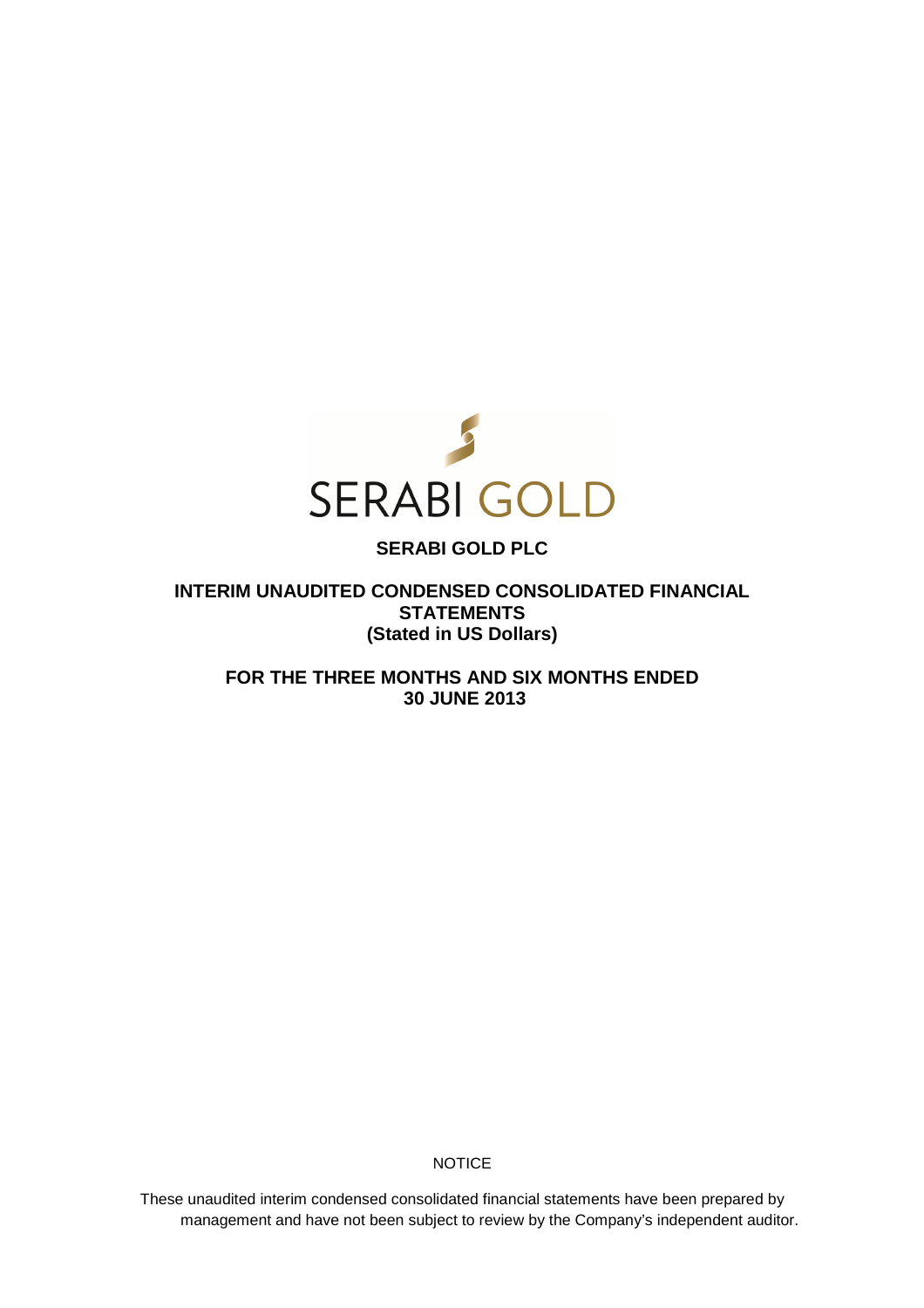

# **SERABI GOLD PLC**

**INTERIM UNAUDITED CONDENSED CONSOLIDATED FINANCIAL STATEMENTS (Stated in US Dollars)** 

**FOR THE THREE MONTHS AND SIX MONTHS ENDED 30 JUNE 2013** 

**NOTICE** 

These unaudited interim condensed consolidated financial statements have been prepared by management and have not been subject to review by the Company's independent auditor.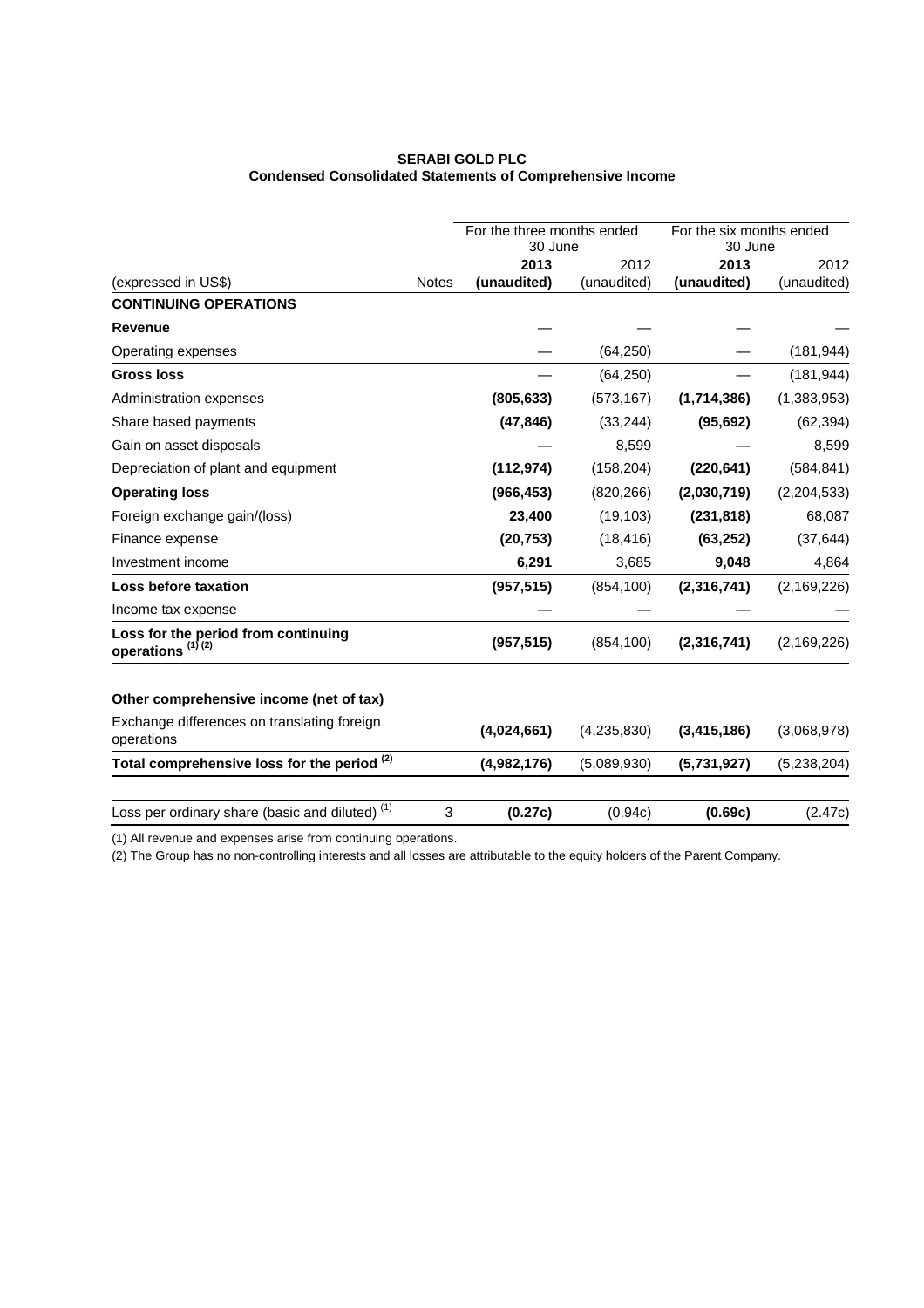# **SERABI GOLD PLC Condensed Consolidated Statements of Comprehensive Income**

|                                                                     |              | For the three months ended<br>30 June |             | For the six months ended<br>30 June |               |
|---------------------------------------------------------------------|--------------|---------------------------------------|-------------|-------------------------------------|---------------|
|                                                                     |              | 2013                                  | 2012        | 2013                                | 2012          |
| (expressed in US\$)                                                 | <b>Notes</b> | (unaudited)                           | (unaudited) | (unaudited)                         | (unaudited)   |
| <b>CONTINUING OPERATIONS</b>                                        |              |                                       |             |                                     |               |
| <b>Revenue</b>                                                      |              |                                       |             |                                     |               |
| Operating expenses                                                  |              |                                       | (64, 250)   |                                     | (181, 944)    |
| <b>Gross loss</b>                                                   |              |                                       | (64, 250)   |                                     | (181, 944)    |
| Administration expenses                                             |              | (805, 633)                            | (573, 167)  | (1,714,386)                         | (1,383,953)   |
| Share based payments                                                |              | (47, 846)                             | (33, 244)   | (95, 692)                           | (62, 394)     |
| Gain on asset disposals                                             |              |                                       | 8,599       |                                     | 8,599         |
| Depreciation of plant and equipment                                 |              | (112, 974)                            | (158, 204)  | (220, 641)                          | (584,841)     |
| <b>Operating loss</b>                                               |              | (966, 453)                            | (820, 266)  | (2,030,719)                         | (2,204,533)   |
| Foreign exchange gain/(loss)                                        |              | 23,400                                | (19, 103)   | (231, 818)                          | 68,087        |
| Finance expense                                                     |              | (20, 753)                             | (18, 416)   | (63, 252)                           | (37, 644)     |
| Investment income                                                   |              | 6,291                                 | 3,685       | 9,048                               | 4,864         |
| Loss before taxation                                                |              | (957, 515)                            | (854, 100)  | (2,316,741)                         | (2, 169, 226) |
| Income tax expense                                                  |              |                                       |             |                                     |               |
| Loss for the period from continuing<br>operations <sup>(1)(2)</sup> |              | (957, 515)                            | (854, 100)  | (2,316,741)                         | (2, 169, 226) |
| Other comprehensive income (net of tax)                             |              |                                       |             |                                     |               |
| Exchange differences on translating foreign<br>operations           |              | (4,024,661)                           | (4,235,830) | (3, 415, 186)                       | (3,068,978)   |
| Total comprehensive loss for the period <sup>(2)</sup>              |              | (4,982,176)                           | (5,089,930) | (5,731,927)                         | (5,238,204)   |
| Loss per ordinary share (basic and diluted) <sup>(1)</sup>          | 3            | (0.27c)                               | (0.94c)     | (0.69c)                             | (2.47c)       |

(1) All revenue and expenses arise from continuing operations.

(2) The Group has no non-controlling interests and all losses are attributable to the equity holders of the Parent Company.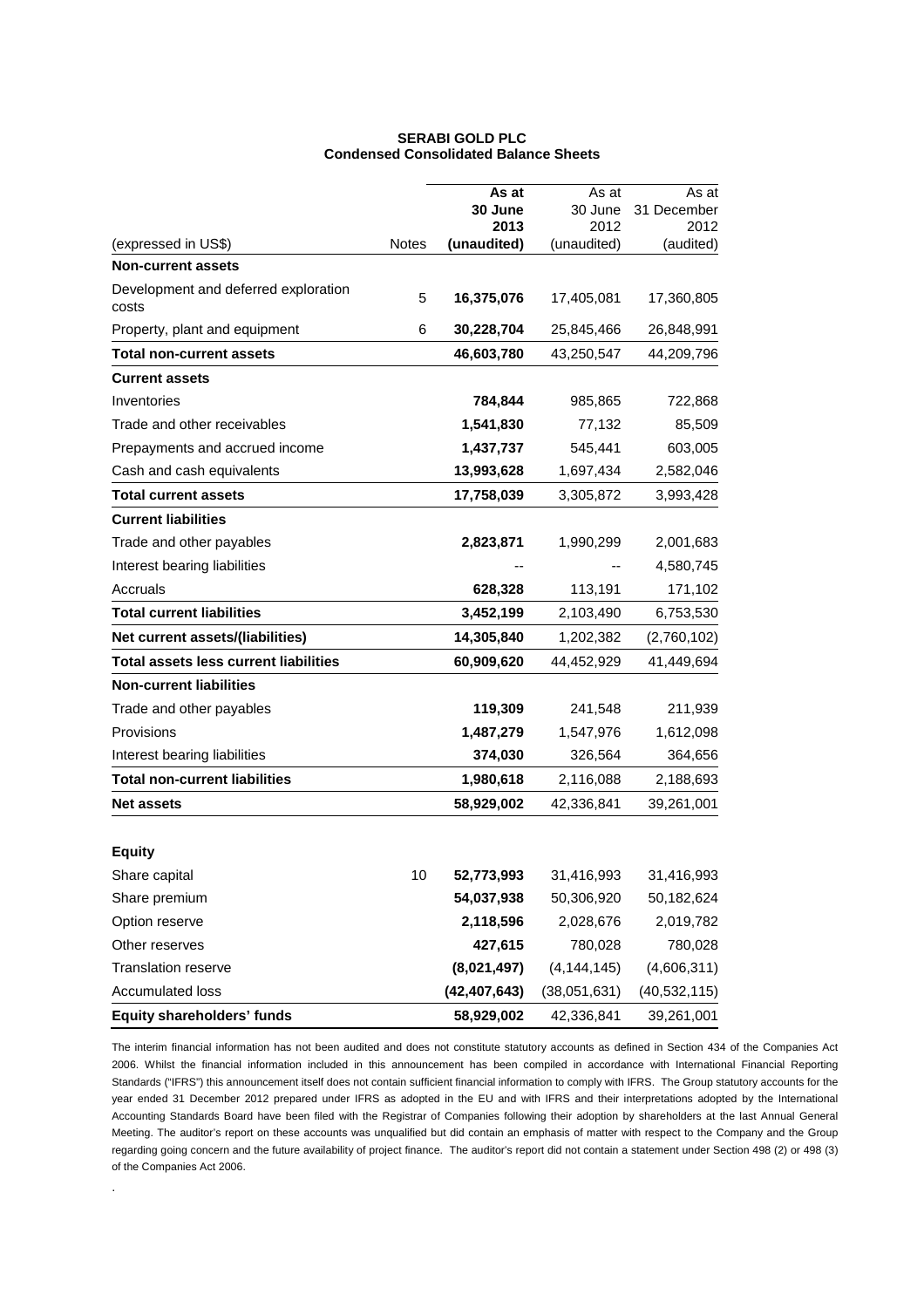|                                               |              | As at           | As at           | As at             |
|-----------------------------------------------|--------------|-----------------|-----------------|-------------------|
|                                               |              | 30 June<br>2013 | 30 June<br>2012 | 31 December       |
| (expressed in US\$)                           | <b>Notes</b> | (unaudited)     | (unaudited)     | 2012<br>(audited) |
| <b>Non-current assets</b>                     |              |                 |                 |                   |
| Development and deferred exploration<br>costs | 5            | 16,375,076      | 17,405,081      | 17,360,805        |
| Property, plant and equipment                 | 6            | 30,228,704      | 25,845,466      | 26,848,991        |
| <b>Total non-current assets</b>               |              | 46,603,780      | 43,250,547      | 44,209,796        |
| <b>Current assets</b>                         |              |                 |                 |                   |
| Inventories                                   |              | 784,844         | 985,865         | 722,868           |
| Trade and other receivables                   |              | 1,541,830       | 77,132          | 85,509            |
| Prepayments and accrued income                |              | 1,437,737       | 545,441         | 603,005           |
| Cash and cash equivalents                     |              | 13,993,628      | 1,697,434       | 2,582,046         |
| <b>Total current assets</b>                   |              | 17,758,039      | 3,305,872       | 3,993,428         |
| <b>Current liabilities</b>                    |              |                 |                 |                   |
| Trade and other payables                      |              | 2,823,871       | 1,990,299       | 2,001,683         |
| Interest bearing liabilities                  |              |                 |                 | 4,580,745         |
| Accruals                                      |              | 628,328         | 113,191         | 171,102           |
| <b>Total current liabilities</b>              |              | 3,452,199       | 2,103,490       | 6,753,530         |
| Net current assets/(liabilities)              |              | 14,305,840      | 1,202,382       | (2,760,102)       |
| <b>Total assets less current liabilities</b>  |              | 60,909,620      | 44,452,929      | 41,449,694        |
| <b>Non-current liabilities</b>                |              |                 |                 |                   |
| Trade and other payables                      |              | 119,309         | 241,548         | 211,939           |
| Provisions                                    |              | 1,487,279       | 1,547,976       | 1,612,098         |
| Interest bearing liabilities                  |              | 374,030         | 326,564         | 364,656           |
| <b>Total non-current liabilities</b>          |              | 1,980,618       | 2,116,088       | 2,188,693         |
| <b>Net assets</b>                             |              | 58,929,002      | 42,336,841      | 39,261,001        |
|                                               |              |                 |                 |                   |
| <b>Equity</b>                                 |              |                 |                 |                   |
| Share capital                                 | 10           | 52,773,993      | 31,416,993      | 31,416,993        |
| Share premium                                 |              | 54,037,938      | 50,306,920      | 50,182,624        |
| Option reserve                                |              | 2,118,596       | 2,028,676       | 2,019,782         |
| Other reserves                                |              | 427,615         | 780,028         | 780,028           |
| <b>Translation reserve</b>                    |              | (8,021,497)     | (4, 144, 145)   | (4,606,311)       |
| Accumulated loss                              |              | (42, 407, 643)  | (38,051,631)    | (40, 532, 115)    |
| <b>Equity shareholders' funds</b>             |              | 58,929,002      | 42,336,841      | 39,261,001        |

## **SERABI GOLD PLC Condensed Consolidated Balance Sheets**

The interim financial information has not been audited and does not constitute statutory accounts as defined in Section 434 of the Companies Act 2006. Whilst the financial information included in this announcement has been compiled in accordance with International Financial Reporting Standards ("IFRS") this announcement itself does not contain sufficient financial information to comply with IFRS. The Group statutory accounts for the year ended 31 December 2012 prepared under IFRS as adopted in the EU and with IFRS and their interpretations adopted by the International Accounting Standards Board have been filed with the Registrar of Companies following their adoption by shareholders at the last Annual General Meeting. The auditor's report on these accounts was unqualified but did contain an emphasis of matter with respect to the Company and the Group regarding going concern and the future availability of project finance. The auditor's report did not contain a statement under Section 498 (2) or 498 (3) of the Companies Act 2006.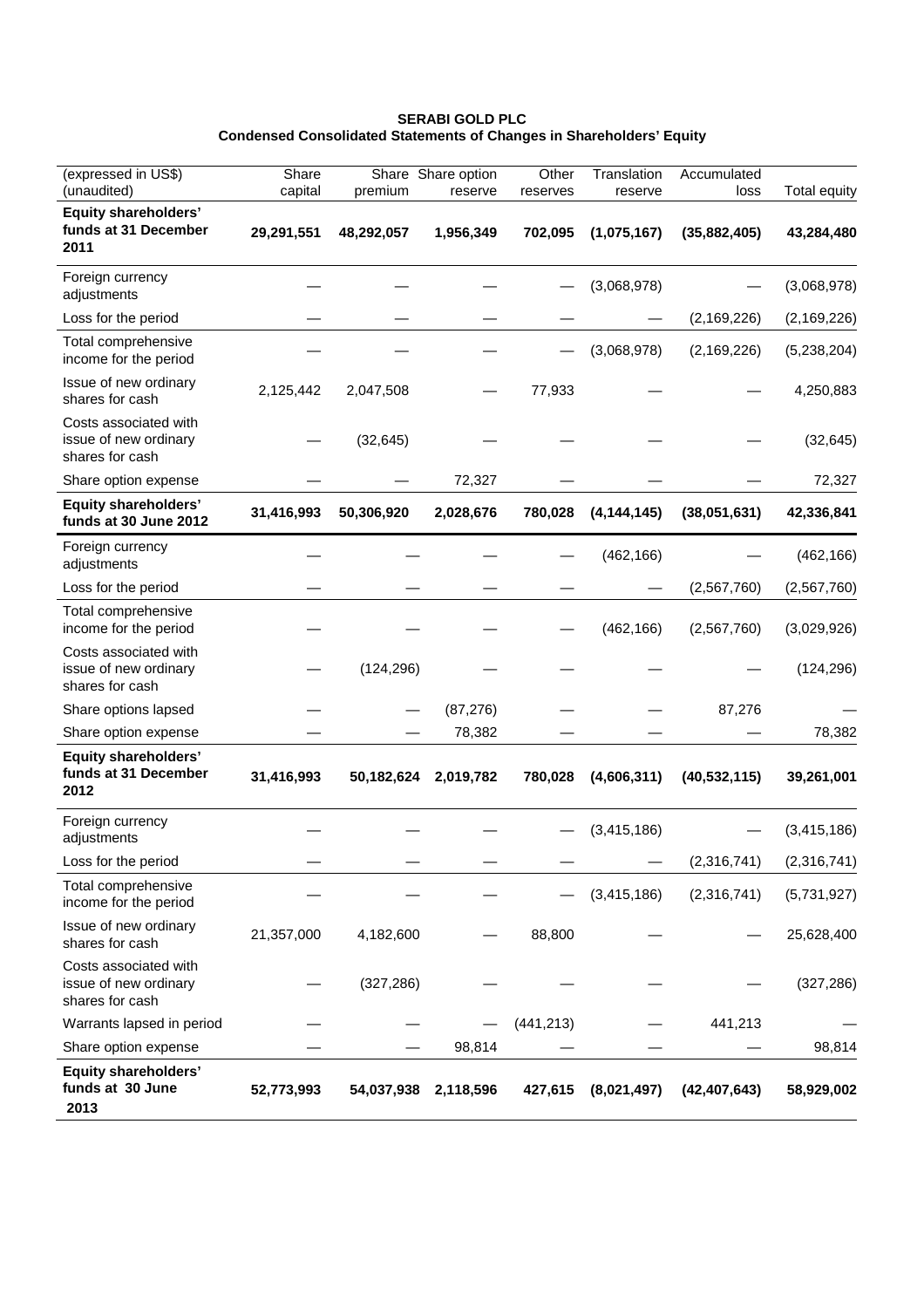# **SERABI GOLD PLC Condensed Consolidated Statements of Changes in Shareholders' Equity**

| (expressed in US\$)                                               | Share      |            | Share Share option | Other      | Translation   | Accumulated    |               |
|-------------------------------------------------------------------|------------|------------|--------------------|------------|---------------|----------------|---------------|
| (unaudited)                                                       | capital    | premium    | reserve            | reserves   | reserve       | loss           | Total equity  |
| <b>Equity shareholders'</b><br>funds at 31 December<br>2011       | 29,291,551 | 48,292,057 | 1,956,349          | 702,095    | (1,075,167)   | (35, 882, 405) | 43,284,480    |
| Foreign currency<br>adjustments                                   |            |            |                    |            | (3,068,978)   |                | (3,068,978)   |
| Loss for the period                                               |            |            |                    |            |               | (2, 169, 226)  | (2, 169, 226) |
| Total comprehensive<br>income for the period                      |            |            |                    |            | (3,068,978)   | (2, 169, 226)  | (5,238,204)   |
| Issue of new ordinary<br>shares for cash                          | 2,125,442  | 2,047,508  |                    | 77,933     |               |                | 4,250,883     |
| Costs associated with<br>issue of new ordinary<br>shares for cash |            | (32, 645)  |                    |            |               |                | (32, 645)     |
| Share option expense                                              |            |            | 72,327             |            |               |                | 72,327        |
| <b>Equity shareholders'</b><br>funds at 30 June 2012              | 31,416,993 | 50,306,920 | 2,028,676          | 780,028    | (4, 144, 145) | (38,051,631)   | 42,336,841    |
| Foreign currency<br>adjustments                                   |            |            |                    |            | (462, 166)    |                | (462, 166)    |
| Loss for the period                                               |            |            |                    |            |               | (2,567,760)    | (2,567,760)   |
| Total comprehensive<br>income for the period                      |            |            |                    |            | (462, 166)    | (2,567,760)    | (3,029,926)   |
| Costs associated with<br>issue of new ordinary<br>shares for cash |            | (124, 296) |                    |            |               |                | (124, 296)    |
| Share options lapsed                                              |            |            | (87, 276)          |            |               | 87,276         |               |
| Share option expense                                              |            |            | 78,382             |            |               |                | 78,382        |
| <b>Equity shareholders'</b><br>funds at 31 December<br>2012       | 31,416,993 | 50,182,624 | 2,019,782          | 780,028    | (4,606,311)   | (40, 532, 115) | 39,261,001    |
| Foreign currency<br>adjustments                                   |            |            |                    |            | (3,415,186)   |                | (3,415,186)   |
| Loss for the period                                               |            |            |                    |            |               | (2,316,741)    | (2,316,741)   |
| Total comprehensive<br>income for the period                      |            |            |                    |            | (3, 415, 186) | (2,316,741)    | (5,731,927)   |
| Issue of new ordinary<br>shares for cash                          | 21,357,000 | 4,182,600  |                    | 88,800     |               |                | 25,628,400    |
| Costs associated with<br>issue of new ordinary<br>shares for cash |            | (327, 286) |                    |            |               |                | (327, 286)    |
| Warrants lapsed in period                                         |            |            |                    | (441, 213) |               | 441,213        |               |
| Share option expense                                              |            |            | 98,814             |            |               |                | 98,814        |
| <b>Equity shareholders'</b><br>funds at 30 June<br>2013           | 52,773,993 | 54,037,938 | 2,118,596          | 427,615    | (8,021,497)   | (42, 407, 643) | 58,929,002    |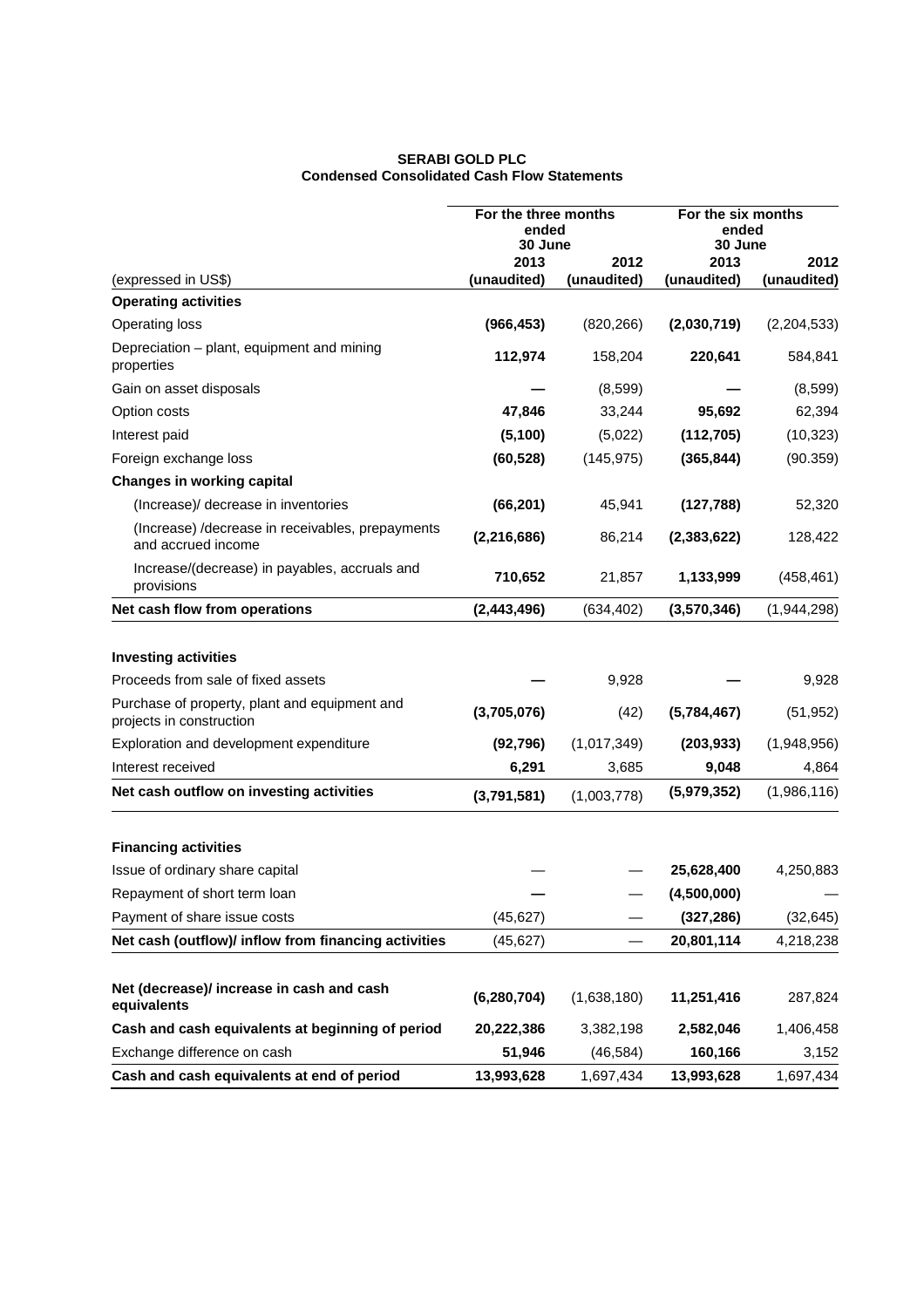## **SERABI GOLD PLC Condensed Consolidated Cash Flow Statements**

|                                                                                                                    | For the three months<br>ended<br>30 June |                     | For the six months<br>ended<br>30 June |                     |
|--------------------------------------------------------------------------------------------------------------------|------------------------------------------|---------------------|----------------------------------------|---------------------|
| (expressed in US\$)                                                                                                | 2013<br>(unaudited)                      | 2012<br>(unaudited) | 2013<br>(unaudited)                    | 2012<br>(unaudited) |
| <b>Operating activities</b>                                                                                        |                                          |                     |                                        |                     |
| <b>Operating loss</b>                                                                                              | (966, 453)                               | (820, 266)          | (2,030,719)                            | (2,204,533)         |
| Depreciation – plant, equipment and mining                                                                         | 112,974                                  | 158,204             | 220,641                                | 584,841             |
| properties                                                                                                         |                                          |                     |                                        |                     |
| Gain on asset disposals                                                                                            |                                          | (8,599)             |                                        | (8,599)             |
| Option costs                                                                                                       | 47,846                                   | 33,244              | 95,692                                 | 62,394              |
| Interest paid                                                                                                      | (5, 100)                                 | (5,022)             | (112, 705)                             | (10, 323)           |
| Foreign exchange loss                                                                                              | (60, 528)                                | (145, 975)          | (365, 844)                             | (90.359)            |
| <b>Changes in working capital</b>                                                                                  |                                          |                     |                                        |                     |
| (Increase)/ decrease in inventories                                                                                | (66, 201)                                | 45,941              | (127, 788)                             | 52,320              |
| (Increase) / decrease in receivables, prepayments<br>and accrued income                                            | (2, 216, 686)                            | 86,214              | (2, 383, 622)                          | 128,422             |
| Increase/(decrease) in payables, accruals and<br>provisions                                                        | 710,652                                  | 21,857              | 1,133,999                              | (458, 461)          |
| Net cash flow from operations                                                                                      | (2,443,496)                              | (634, 402)          | (3,570,346)                            | (1,944,298)         |
| <b>Investing activities</b><br>Proceeds from sale of fixed assets<br>Purchase of property, plant and equipment and |                                          | 9,928               |                                        | 9,928               |
| projects in construction                                                                                           | (3,705,076)                              | (42)                | (5,784,467)                            | (51, 952)           |
| Exploration and development expenditure                                                                            | (92, 796)                                | (1,017,349)         | (203, 933)                             | (1,948,956)         |
| Interest received                                                                                                  | 6,291                                    | 3,685               | 9,048                                  | 4,864               |
| Net cash outflow on investing activities                                                                           | (3,791,581)                              | (1,003,778)         | (5,979,352)                            | (1,986,116)         |
| <b>Financing activities</b>                                                                                        |                                          |                     |                                        |                     |
| Issue of ordinary share capital                                                                                    |                                          |                     | 25,628,400                             | 4,250,883           |
| Repayment of short term loan                                                                                       |                                          |                     | (4,500,000)                            |                     |
| Payment of share issue costs                                                                                       | (45, 627)                                |                     | (327, 286)                             | (32, 645)           |
| Net cash (outflow)/ inflow from financing activities                                                               | (45, 627)                                |                     | 20,801,114                             | 4,218,238           |
| Net (decrease)/ increase in cash and cash<br>equivalents                                                           | (6, 280, 704)                            | (1,638,180)         | 11,251,416                             | 287,824             |
| Cash and cash equivalents at beginning of period                                                                   | 20,222,386                               | 3,382,198           | 2,582,046                              | 1,406,458           |
| Exchange difference on cash                                                                                        | 51,946                                   | (46, 584)           | 160,166                                | 3,152               |
| Cash and cash equivalents at end of period                                                                         | 13,993,628                               | 1,697,434           | 13,993,628                             | 1,697,434           |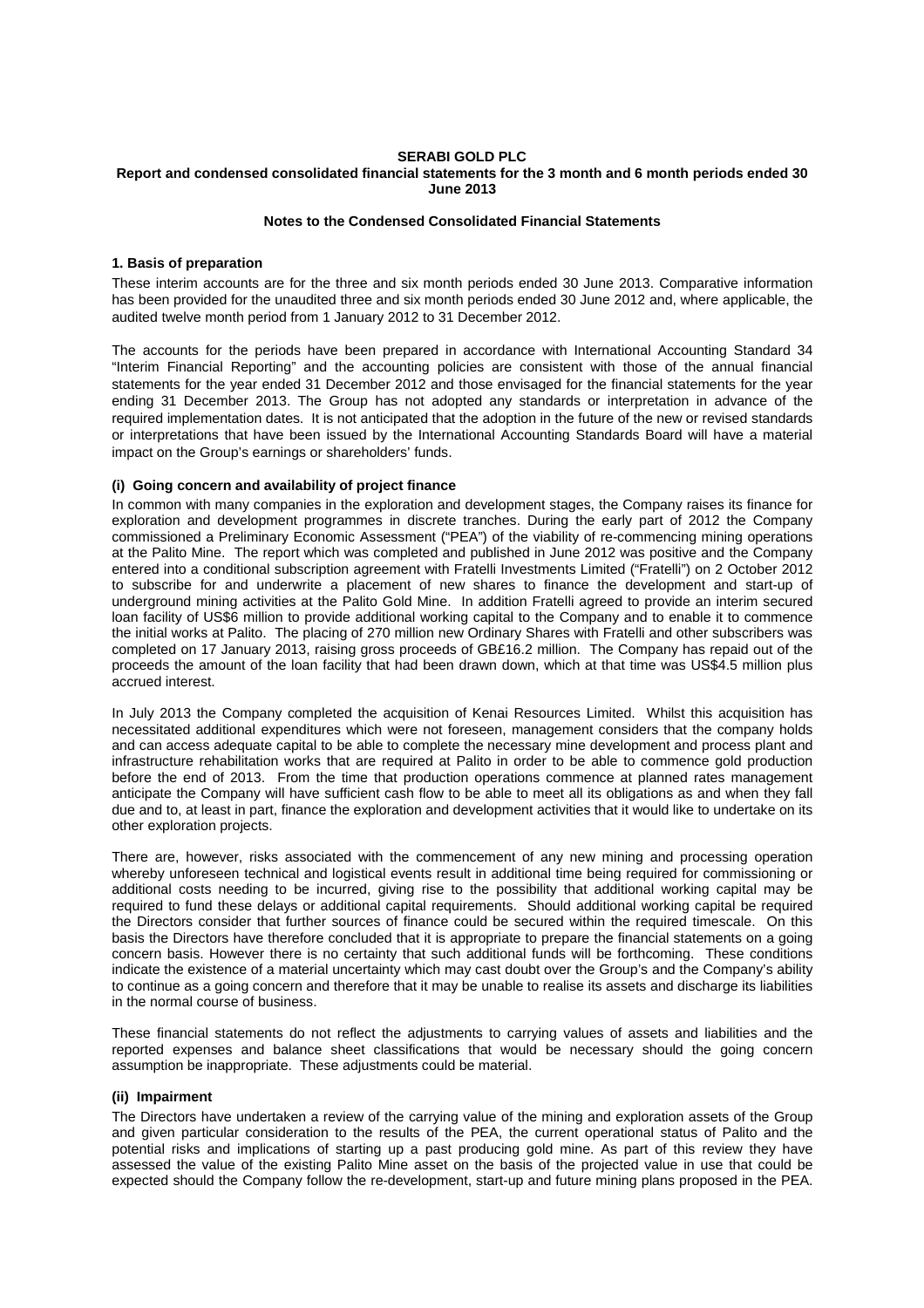#### **SERABI GOLD PLC Report and condensed consolidated financial statements for the 3 month and 6 month periods ended 30 June 2013**

## **Notes to the Condensed Consolidated Financial Statements**

#### **1. Basis of preparation**

These interim accounts are for the three and six month periods ended 30 June 2013. Comparative information has been provided for the unaudited three and six month periods ended 30 June 2012 and, where applicable, the audited twelve month period from 1 January 2012 to 31 December 2012.

The accounts for the periods have been prepared in accordance with International Accounting Standard 34 "Interim Financial Reporting" and the accounting policies are consistent with those of the annual financial statements for the year ended 31 December 2012 and those envisaged for the financial statements for the year ending 31 December 2013. The Group has not adopted any standards or interpretation in advance of the required implementation dates. It is not anticipated that the adoption in the future of the new or revised standards or interpretations that have been issued by the International Accounting Standards Board will have a material impact on the Group's earnings or shareholders' funds.

#### **(i) Going concern and availability of project finance**

In common with many companies in the exploration and development stages, the Company raises its finance for exploration and development programmes in discrete tranches. During the early part of 2012 the Company commissioned a Preliminary Economic Assessment ("PEA") of the viability of re-commencing mining operations at the Palito Mine. The report which was completed and published in June 2012 was positive and the Company entered into a conditional subscription agreement with Fratelli Investments Limited ("Fratelli") on 2 October 2012 to subscribe for and underwrite a placement of new shares to finance the development and start-up of underground mining activities at the Palito Gold Mine. In addition Fratelli agreed to provide an interim secured loan facility of US\$6 million to provide additional working capital to the Company and to enable it to commence the initial works at Palito. The placing of 270 million new Ordinary Shares with Fratelli and other subscribers was completed on 17 January 2013, raising gross proceeds of GB£16.2 million. The Company has repaid out of the proceeds the amount of the loan facility that had been drawn down, which at that time was US\$4.5 million plus accrued interest.

In July 2013 the Company completed the acquisition of Kenai Resources Limited. Whilst this acquisition has necessitated additional expenditures which were not foreseen, management considers that the company holds and can access adequate capital to be able to complete the necessary mine development and process plant and infrastructure rehabilitation works that are required at Palito in order to be able to commence gold production before the end of 2013. From the time that production operations commence at planned rates management anticipate the Company will have sufficient cash flow to be able to meet all its obligations as and when they fall due and to, at least in part, finance the exploration and development activities that it would like to undertake on its other exploration projects.

There are, however, risks associated with the commencement of any new mining and processing operation whereby unforeseen technical and logistical events result in additional time being required for commissioning or additional costs needing to be incurred, giving rise to the possibility that additional working capital may be required to fund these delays or additional capital requirements. Should additional working capital be required the Directors consider that further sources of finance could be secured within the required timescale. On this basis the Directors have therefore concluded that it is appropriate to prepare the financial statements on a going concern basis. However there is no certainty that such additional funds will be forthcoming. These conditions indicate the existence of a material uncertainty which may cast doubt over the Group's and the Company's ability to continue as a going concern and therefore that it may be unable to realise its assets and discharge its liabilities in the normal course of business.

These financial statements do not reflect the adjustments to carrying values of assets and liabilities and the reported expenses and balance sheet classifications that would be necessary should the going concern assumption be inappropriate. These adjustments could be material.

#### **(ii) Impairment**

The Directors have undertaken a review of the carrying value of the mining and exploration assets of the Group and given particular consideration to the results of the PEA, the current operational status of Palito and the potential risks and implications of starting up a past producing gold mine. As part of this review they have assessed the value of the existing Palito Mine asset on the basis of the projected value in use that could be expected should the Company follow the re-development, start-up and future mining plans proposed in the PEA.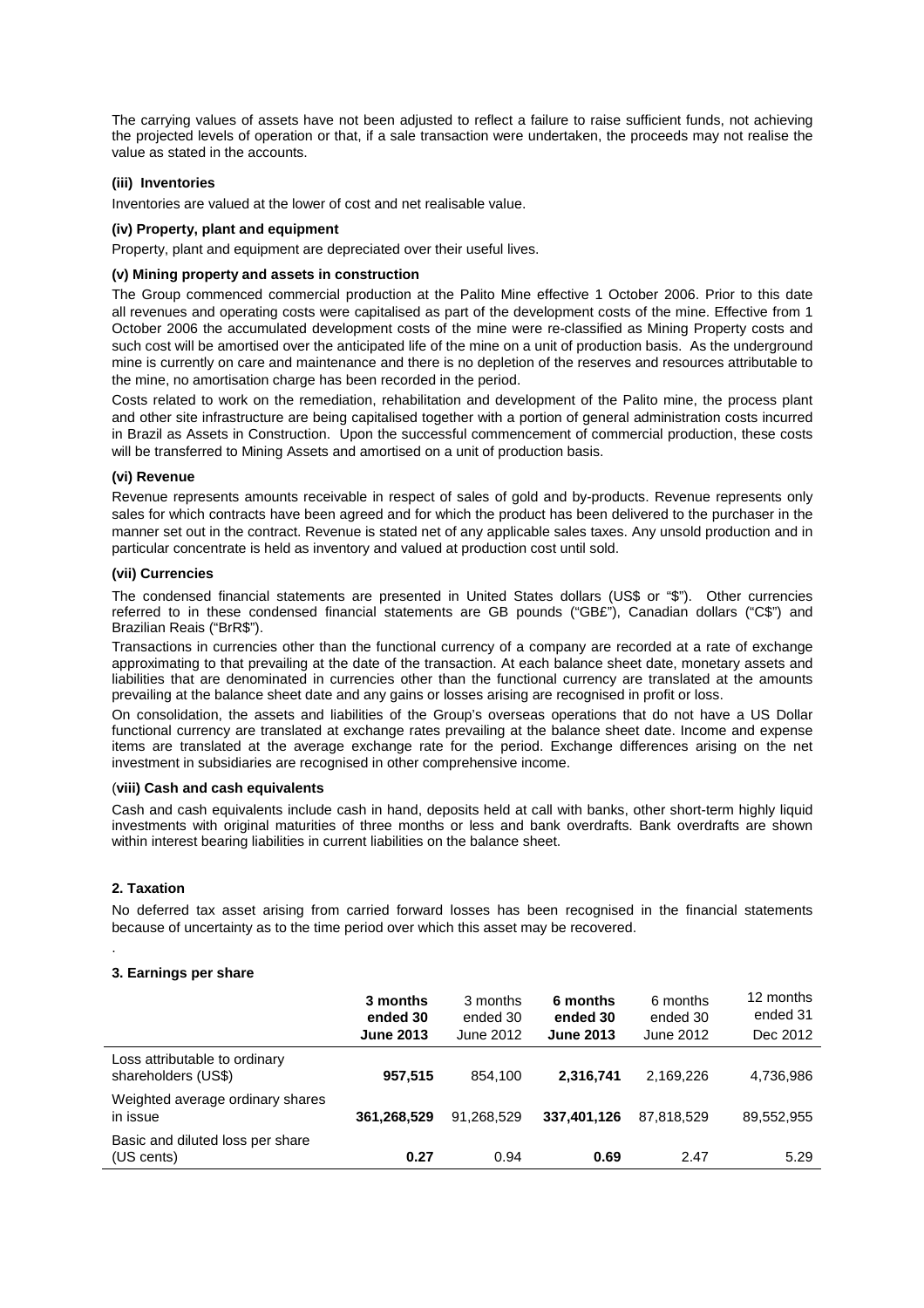The carrying values of assets have not been adjusted to reflect a failure to raise sufficient funds, not achieving the projected levels of operation or that, if a sale transaction were undertaken, the proceeds may not realise the value as stated in the accounts.

#### **(iii) Inventories**

Inventories are valued at the lower of cost and net realisable value.

#### **(iv) Property, plant and equipment**

Property, plant and equipment are depreciated over their useful lives.

#### **(v) Mining property and assets in construction**

The Group commenced commercial production at the Palito Mine effective 1 October 2006. Prior to this date all revenues and operating costs were capitalised as part of the development costs of the mine. Effective from 1 October 2006 the accumulated development costs of the mine were re-classified as Mining Property costs and such cost will be amortised over the anticipated life of the mine on a unit of production basis. As the underground mine is currently on care and maintenance and there is no depletion of the reserves and resources attributable to the mine, no amortisation charge has been recorded in the period.

Costs related to work on the remediation, rehabilitation and development of the Palito mine, the process plant and other site infrastructure are being capitalised together with a portion of general administration costs incurred in Brazil as Assets in Construction. Upon the successful commencement of commercial production, these costs will be transferred to Mining Assets and amortised on a unit of production basis.

#### **(vi) Revenue**

Revenue represents amounts receivable in respect of sales of gold and by-products. Revenue represents only sales for which contracts have been agreed and for which the product has been delivered to the purchaser in the manner set out in the contract. Revenue is stated net of any applicable sales taxes. Any unsold production and in particular concentrate is held as inventory and valued at production cost until sold.

#### **(vii) Currencies**

The condensed financial statements are presented in United States dollars (US\$ or "\$"). Other currencies referred to in these condensed financial statements are GB pounds ("GB£"), Canadian dollars ("C\$") and Brazilian Reais ("BrR\$").

Transactions in currencies other than the functional currency of a company are recorded at a rate of exchange approximating to that prevailing at the date of the transaction. At each balance sheet date, monetary assets and liabilities that are denominated in currencies other than the functional currency are translated at the amounts prevailing at the balance sheet date and any gains or losses arising are recognised in profit or loss.

On consolidation, the assets and liabilities of the Group's overseas operations that do not have a US Dollar functional currency are translated at exchange rates prevailing at the balance sheet date. Income and expense items are translated at the average exchange rate for the period. Exchange differences arising on the net investment in subsidiaries are recognised in other comprehensive income.

#### (**viii) Cash and cash equivalents**

Cash and cash equivalents include cash in hand, deposits held at call with banks, other short-term highly liquid investments with original maturities of three months or less and bank overdrafts. Bank overdrafts are shown within interest bearing liabilities in current liabilities on the balance sheet.

#### **2. Taxation**

.

No deferred tax asset arising from carried forward losses has been recognised in the financial statements because of uncertainty as to the time period over which this asset may be recovered.

#### **3. Earnings per share**

|                                                      | 3 months<br>ended 30<br><b>June 2013</b> | 3 months<br>ended 30<br>June 2012 | 6 months<br>ended 30<br><b>June 2013</b> | 6 months<br>ended 30<br>June 2012 | 12 months<br>ended 31<br>Dec 2012 |
|------------------------------------------------------|------------------------------------------|-----------------------------------|------------------------------------------|-----------------------------------|-----------------------------------|
| Loss attributable to ordinary<br>shareholders (US\$) | 957,515                                  | 854.100                           | 2.316.741                                | 2,169,226                         | 4,736,986                         |
| Weighted average ordinary shares<br>in issue         | 361.268.529                              | 91.268.529                        | 337.401.126                              | 87.818.529                        | 89,552,955                        |
| Basic and diluted loss per share<br>(US cents)       | 0.27                                     | 0.94                              | 0.69                                     | 2.47                              | 5.29                              |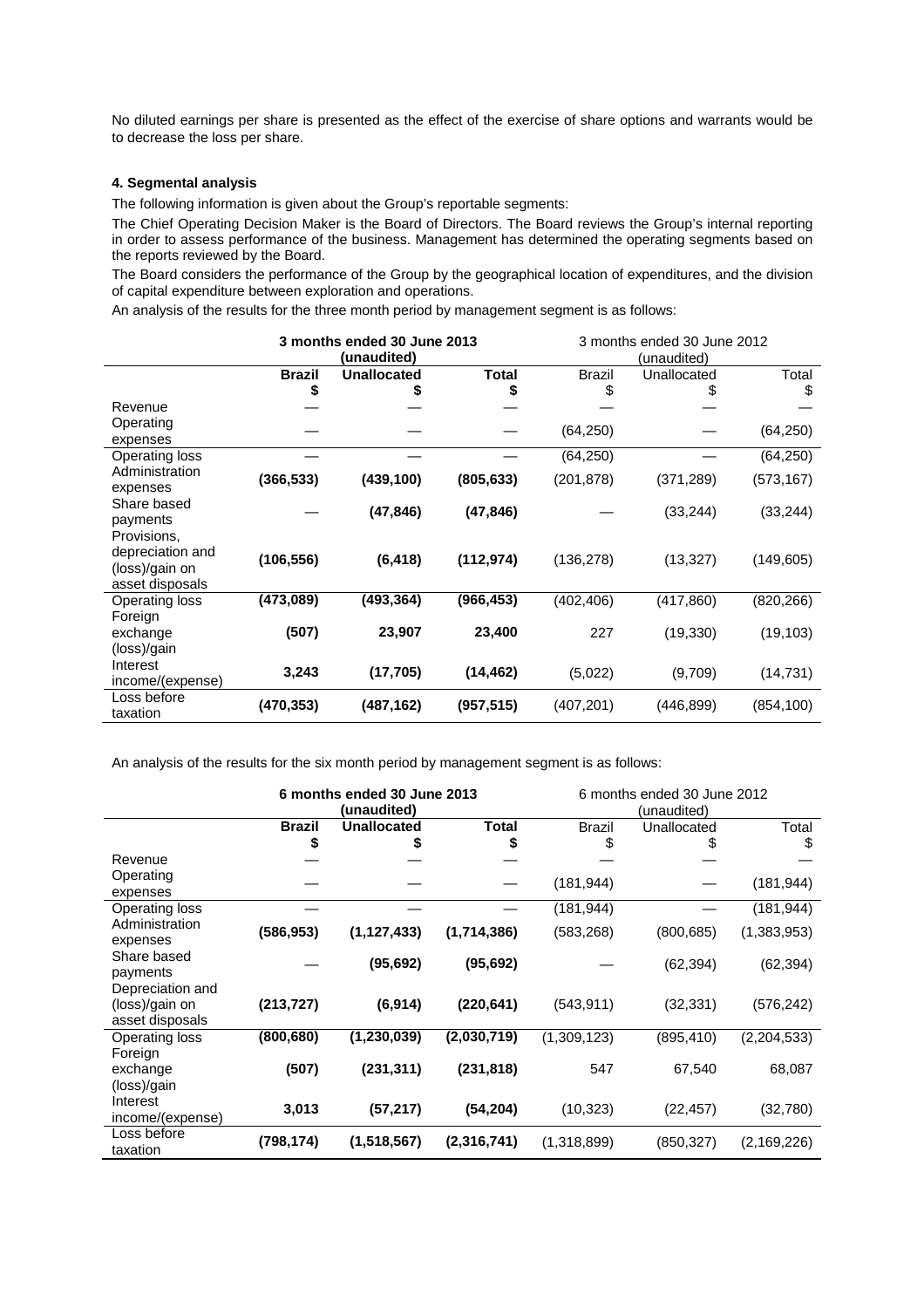No diluted earnings per share is presented as the effect of the exercise of share options and warrants would be to decrease the loss per share.

# **4. Segmental analysis**

The following information is given about the Group's reportable segments:

The Chief Operating Decision Maker is the Board of Directors. The Board reviews the Group's internal reporting in order to assess performance of the business. Management has determined the operating segments based on the reports reviewed by the Board.

The Board considers the performance of the Group by the geographical location of expenditures, and the division of capital expenditure between exploration and operations.

An analysis of the results for the three month period by management segment is as follows:

|                  | 3 months ended 30 June 2013<br>(unaudited) |                    | 3 months ended 30 June 2012<br>(unaudited) |               |             |            |
|------------------|--------------------------------------------|--------------------|--------------------------------------------|---------------|-------------|------------|
|                  | <b>Brazil</b>                              | <b>Unallocated</b> | <b>Total</b>                               | <b>Brazil</b> | Unallocated | Total      |
|                  |                                            |                    | \$                                         |               |             | \$         |
| Revenue          |                                            |                    |                                            |               |             |            |
| Operating        |                                            |                    |                                            | (64, 250)     |             | (64, 250)  |
| expenses         |                                            |                    |                                            |               |             |            |
| Operating loss   |                                            |                    |                                            | (64, 250)     |             | (64, 250)  |
| Administration   | (366, 533)                                 | (439, 100)         | (805, 633)                                 | (201, 878)    | (371, 289)  | (573, 167) |
| expenses         |                                            |                    |                                            |               |             |            |
| Share based      |                                            | (47, 846)          | (47, 846)                                  |               | (33, 244)   | (33, 244)  |
| payments         |                                            |                    |                                            |               |             |            |
| Provisions,      |                                            |                    |                                            |               |             |            |
| depreciation and | (106, 556)                                 | (6, 418)           | (112, 974)                                 | (136, 278)    | (13, 327)   | (149, 605) |
| (loss)/gain on   |                                            |                    |                                            |               |             |            |
| asset disposals  |                                            |                    |                                            |               |             |            |
| Operating loss   | (473,089)                                  | (493,364)          | (966, 453)                                 | (402, 406)    | (417, 860)  | (820, 266) |
| Foreign          |                                            |                    |                                            |               |             |            |
| exchange         | (507)                                      | 23,907             | 23,400                                     | 227           | (19, 330)   | (19, 103)  |
| (loss)/gain      |                                            |                    |                                            |               |             |            |
| Interest         | 3,243                                      | (17, 705)          | (14, 462)                                  | (5,022)       | (9,709)     | (14, 731)  |
| income/(expense) |                                            |                    |                                            |               |             |            |
| Loss before      | (470,353)                                  | (487, 162)         | (957, 515)                                 | (407, 201)    | (446, 899)  | (854, 100) |
| taxation         |                                            |                    |                                            |               |             |            |

An analysis of the results for the six month period by management segment is as follows:

|                  | 6 months ended 30 June 2013<br>(unaudited) |                    | 6 months ended 30 June 2012<br>(unaudited) |               |             |               |
|------------------|--------------------------------------------|--------------------|--------------------------------------------|---------------|-------------|---------------|
|                  | <b>Brazil</b>                              | <b>Unallocated</b> | Total                                      | <b>Brazil</b> | Unallocated | Total         |
|                  | \$                                         | \$                 | \$                                         |               | Ψ           | \$            |
| Revenue          |                                            |                    |                                            |               |             |               |
| Operating        |                                            |                    |                                            |               |             |               |
| expenses         |                                            |                    |                                            | (181, 944)    |             | (181, 944)    |
| Operating loss   |                                            |                    |                                            | (181,944)     |             | (181, 944)    |
| Administration   | (586, 953)                                 | (1, 127, 433)      | (1,714,386)                                | (583, 268)    | (800, 685)  | (1,383,953)   |
| expenses         |                                            |                    |                                            |               |             |               |
| Share based      |                                            | (95, 692)          | (95, 692)                                  |               | (62, 394)   | (62, 394)     |
| payments         |                                            |                    |                                            |               |             |               |
| Depreciation and |                                            |                    |                                            |               |             |               |
| (loss)/gain on   | (213, 727)                                 | (6, 914)           | (220, 641)                                 | (543, 911)    | (32, 331)   | (576, 242)    |
| asset disposals  |                                            |                    |                                            |               |             |               |
| Operating loss   | (800, 680)                                 | (1, 230, 039)      | (2,030,719)                                | (1,309,123)   | (895, 410)  | (2, 204, 533) |
| Foreign          |                                            |                    |                                            |               |             |               |
| exchange         | (507)                                      | (231, 311)         | (231, 818)                                 | 547           | 67,540      | 68,087        |
| (loss)/gain      |                                            |                    |                                            |               |             |               |
| Interest         |                                            |                    |                                            |               |             |               |
| income/(expense) | 3,013                                      | (57, 217)          | (54, 204)                                  | (10, 323)     | (22, 457)   | (32,780)      |
| Loss before      | (798,174)                                  | (1,518,567)        | (2,316,741)                                | (1,318,899)   | (850, 327)  | (2, 169, 226) |
| taxation         |                                            |                    |                                            |               |             |               |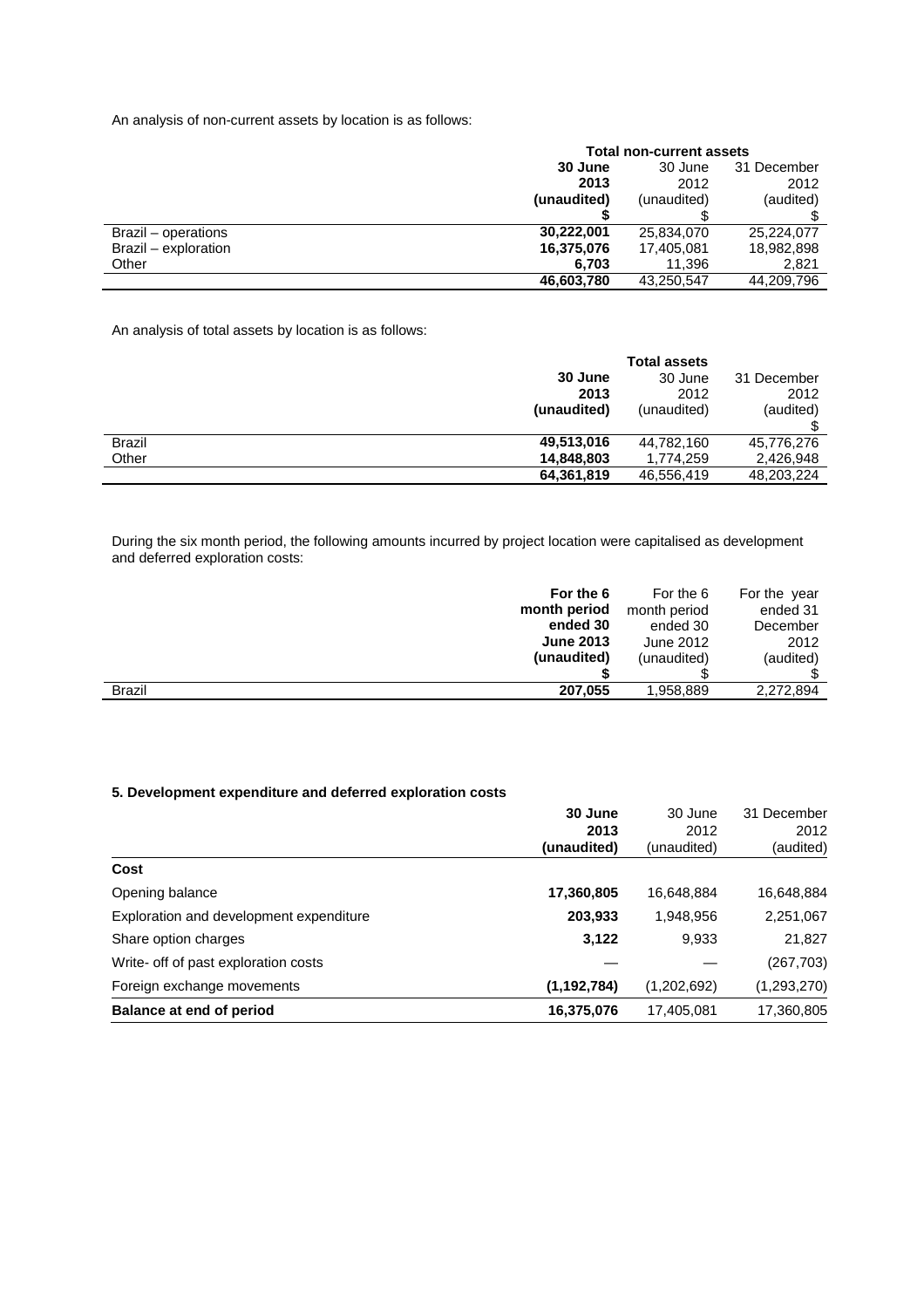An analysis of non-current assets by location is as follows:

|                      | <b>Total non-current assets</b>   |             |            |
|----------------------|-----------------------------------|-------------|------------|
|                      | 30 June<br>31 December<br>30 June |             |            |
|                      | 2013                              | 2012        | 2012       |
|                      | (unaudited)                       | (unaudited) | (audited)  |
|                      |                                   |             |            |
| Brazil – operations  | 30,222,001                        | 25,834,070  | 25,224,077 |
| Brazil - exploration | 16,375,076                        | 17,405,081  | 18,982,898 |
| Other                | 6.703                             | 11.396      | 2,821      |
|                      | 46,603,780                        | 43,250,547  | 44,209,796 |

An analysis of total assets by location is as follows:

|               |             | <b>Total assets</b> |             |
|---------------|-------------|---------------------|-------------|
|               | 30 June     | 30 June             | 31 December |
|               | 2013        | 2012                | 2012        |
|               | (unaudited) | (unaudited)         | (audited)   |
|               |             |                     |             |
| <b>Brazil</b> | 49,513,016  | 44,782,160          | 45,776,276  |
| Other         | 14,848,803  | 1.774.259           | 2,426,948   |
|               | 64,361,819  | 46,556,419          | 48,203,224  |

During the six month period, the following amounts incurred by project location were capitalised as development and deferred exploration costs:

| For the 6                | For the 6    | For the year |
|--------------------------|--------------|--------------|
| month period             | month period | ended 31     |
| ended 30                 | ended 30     | December     |
| <b>June 2013</b>         | June 2012    | 2012         |
| (unaudited)              | (unaudited)  | (audited)    |
|                          |              |              |
| <b>Brazil</b><br>207,055 | 1,958,889    | 2,272,894    |

# **5. Development expenditure and deferred exploration costs**

|                                         | 30 June       | 30 June     | 31 December |
|-----------------------------------------|---------------|-------------|-------------|
|                                         | 2013          | 2012        | 2012        |
|                                         | (unaudited)   | (unaudited) | (audited)   |
| Cost                                    |               |             |             |
| Opening balance                         | 17,360,805    | 16,648,884  | 16,648,884  |
| Exploration and development expenditure | 203,933       | 1,948,956   | 2,251,067   |
| Share option charges                    | 3,122         | 9,933       | 21,827      |
| Write- off of past exploration costs    |               |             | (267, 703)  |
| Foreign exchange movements              | (1, 192, 784) | (1,202,692) | (1,293,270) |
| Balance at end of period                | 16,375,076    | 17,405,081  | 17,360,805  |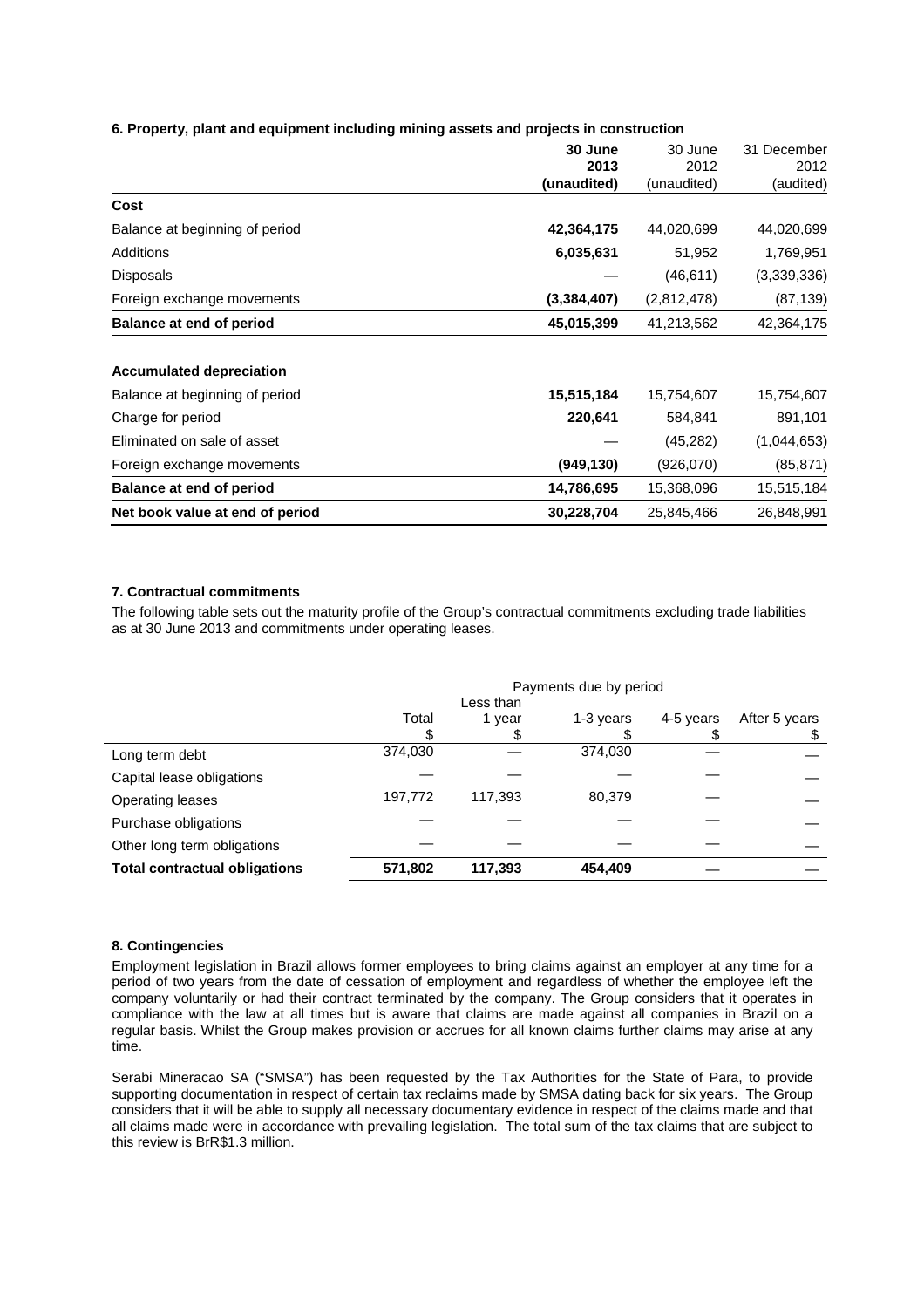# **6. Property, plant and equipment including mining assets and projects in construction**

|                                 | 30 June<br>2013 | 30 June<br>2012 | 31 December<br>2012 |
|---------------------------------|-----------------|-----------------|---------------------|
|                                 | (unaudited)     | (unaudited)     | (audited)           |
| Cost                            |                 |                 |                     |
| Balance at beginning of period  | 42,364,175      | 44,020,699      | 44,020,699          |
| Additions                       | 6,035,631       | 51,952          | 1,769,951           |
| Disposals                       |                 | (46, 611)       | (3,339,336)         |
| Foreign exchange movements      | (3, 384, 407)   | (2,812,478)     | (87, 139)           |
| <b>Balance at end of period</b> | 45,015,399      | 41,213,562      | 42,364,175          |
| <b>Accumulated depreciation</b> |                 |                 |                     |
| Balance at beginning of period  | 15,515,184      | 15,754,607      | 15,754,607          |
| Charge for period               | 220,641         | 584,841         | 891,101             |
| Eliminated on sale of asset     |                 | (45, 282)       | (1,044,653)         |
| Foreign exchange movements      | (949,130)       | (926,070)       | (85, 871)           |
| <b>Balance at end of period</b> | 14,786,695      | 15,368,096      | 15,515,184          |
| Net book value at end of period | 30,228,704      | 25,845,466      | 26,848,991          |

#### **7. Contractual commitments**

The following table sets out the maturity profile of the Group's contractual commitments excluding trade liabilities as at 30 June 2013 and commitments under operating leases.

|                                      | Payments due by period |           |           |           |               |  |
|--------------------------------------|------------------------|-----------|-----------|-----------|---------------|--|
|                                      |                        | Less than |           |           |               |  |
|                                      | Total                  | 1 year    | 1-3 years | 4-5 years | After 5 years |  |
|                                      |                        | S         |           |           |               |  |
| Long term debt                       | 374,030                |           | 374,030   |           |               |  |
| Capital lease obligations            |                        |           |           |           |               |  |
| Operating leases                     | 197,772                | 117,393   | 80,379    |           |               |  |
| Purchase obligations                 |                        |           |           |           |               |  |
| Other long term obligations          |                        |           |           |           |               |  |
| <b>Total contractual obligations</b> | 571,802                | 117,393   | 454,409   |           |               |  |

### **8. Contingencies**

Employment legislation in Brazil allows former employees to bring claims against an employer at any time for a period of two years from the date of cessation of employment and regardless of whether the employee left the company voluntarily or had their contract terminated by the company. The Group considers that it operates in compliance with the law at all times but is aware that claims are made against all companies in Brazil on a regular basis. Whilst the Group makes provision or accrues for all known claims further claims may arise at any time.

Serabi Mineracao SA ("SMSA") has been requested by the Tax Authorities for the State of Para, to provide supporting documentation in respect of certain tax reclaims made by SMSA dating back for six years. The Group considers that it will be able to supply all necessary documentary evidence in respect of the claims made and that all claims made were in accordance with prevailing legislation. The total sum of the tax claims that are subject to this review is BrR\$1.3 million.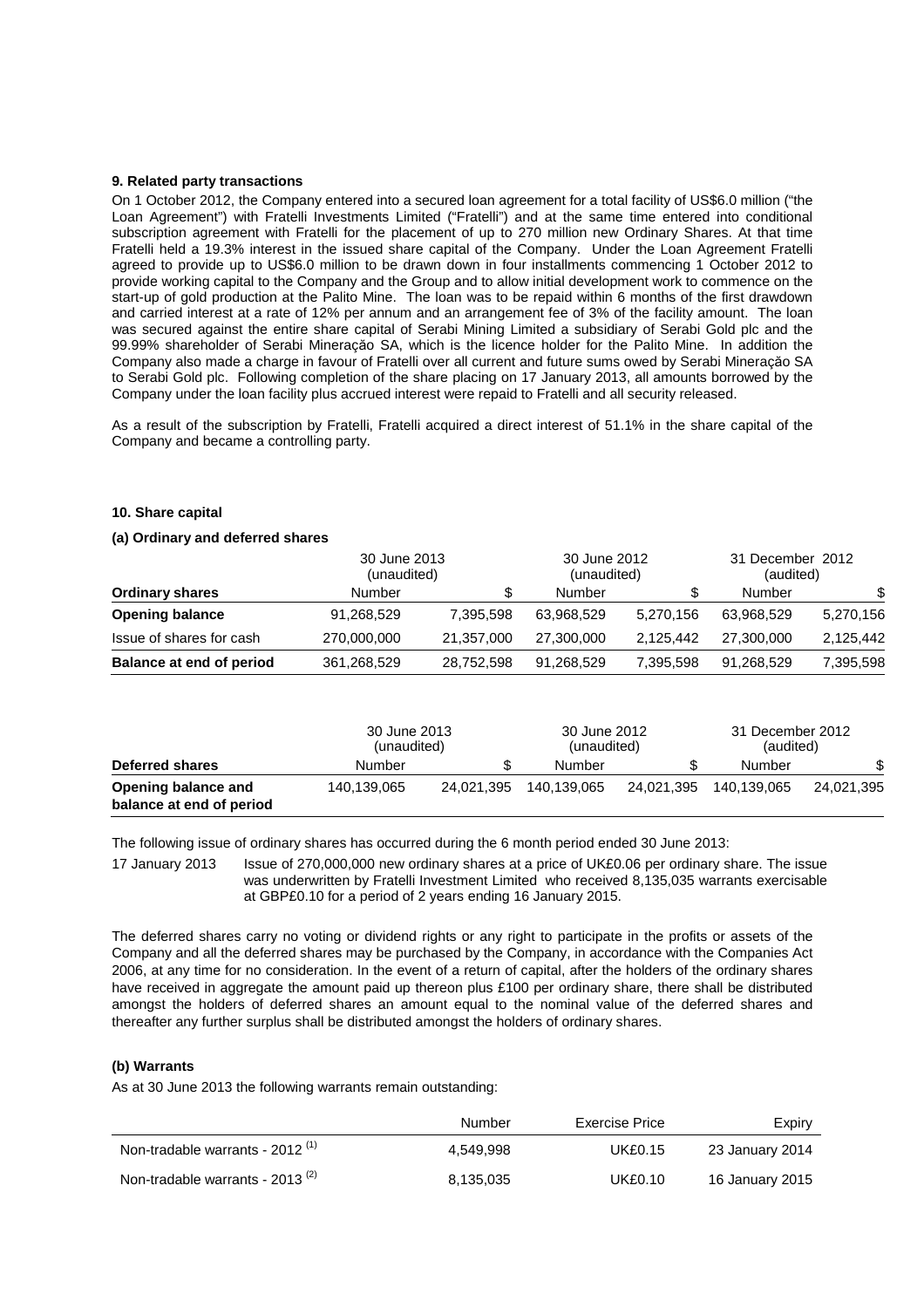#### **9. Related party transactions**

On 1 October 2012, the Company entered into a secured loan agreement for a total facility of US\$6.0 million ("the Loan Agreement") with Fratelli Investments Limited ("Fratelli") and at the same time entered into conditional subscription agreement with Fratelli for the placement of up to 270 million new Ordinary Shares. At that time Fratelli held a 19.3% interest in the issued share capital of the Company. Under the Loan Agreement Fratelli agreed to provide up to US\$6.0 million to be drawn down in four installments commencing 1 October 2012 to provide working capital to the Company and the Group and to allow initial development work to commence on the start-up of gold production at the Palito Mine. The loan was to be repaid within 6 months of the first drawdown and carried interest at a rate of 12% per annum and an arrangement fee of 3% of the facility amount. The loan was secured against the entire share capital of Serabi Mining Limited a subsidiary of Serabi Gold plc and the 99.99% shareholder of Serabi Mineraçăo SA, which is the licence holder for the Palito Mine. In addition the Company also made a charge in favour of Fratelli over all current and future sums owed by Serabi Mineraçăo SA to Serabi Gold plc. Following completion of the share placing on 17 January 2013, all amounts borrowed by the Company under the loan facility plus accrued interest were repaid to Fratelli and all security released.

As a result of the subscription by Fratelli, Fratelli acquired a direct interest of 51.1% in the share capital of the Company and became a controlling party.

## **10. Share capital**

#### **(a) Ordinary and deferred shares**

|                          | 30 June 2013<br>(unaudited) |            | 30 June 2012<br>(unaudited) |           | 31 December 2012<br>(audited) |           |
|--------------------------|-----------------------------|------------|-----------------------------|-----------|-------------------------------|-----------|
| <b>Ordinary shares</b>   | Number                      | \$         | Number                      | \$        | Number                        | S.        |
| <b>Opening balance</b>   | 91,268,529                  | 7.395.598  | 63.968.529                  | 5,270,156 | 63,968,529                    | 5,270,156 |
| Issue of shares for cash | 270,000,000                 | 21.357.000 | 27,300,000                  | 2.125.442 | 27,300,000                    | 2,125,442 |
| Balance at end of period | 361,268,529                 | 28,752,598 | 91.268.529                  | 7,395,598 | 91,268,529                    | 7,395,598 |

|                                                 | 30 June 2013<br>(unaudited) |            | 30 June 2012<br>(unaudited) |            | 31 December 2012<br>(audited) |            |
|-------------------------------------------------|-----------------------------|------------|-----------------------------|------------|-------------------------------|------------|
| Deferred shares                                 | Number                      | \$         | Number                      | \$         | Number                        | \$         |
| Opening balance and<br>balance at end of period | 140,139,065                 | 24.021.395 | 140.139.065                 | 24.021.395 | 140.139.065                   | 24.021.395 |

The following issue of ordinary shares has occurred during the 6 month period ended 30 June 2013:

17 January 2013 Issue of 270,000,000 new ordinary shares at a price of UK£0.06 per ordinary share. The issue was underwritten by Fratelli Investment Limited who received 8,135,035 warrants exercisable at GBP£0.10 for a period of 2 years ending 16 January 2015.

The deferred shares carry no voting or dividend rights or any right to participate in the profits or assets of the Company and all the deferred shares may be purchased by the Company, in accordance with the Companies Act 2006, at any time for no consideration. In the event of a return of capital, after the holders of the ordinary shares have received in aggregate the amount paid up thereon plus £100 per ordinary share, there shall be distributed amongst the holders of deferred shares an amount equal to the nominal value of the deferred shares and thereafter any further surplus shall be distributed amongst the holders of ordinary shares.

#### **(b) Warrants**

As at 30 June 2013 the following warrants remain outstanding:

|                                             | Number    | Exercise Price | Expiry          |
|---------------------------------------------|-----------|----------------|-----------------|
| Non-tradable warrants - 2012 <sup>(1)</sup> | 4.549.998 | UK£0.15        | 23 January 2014 |
| Non-tradable warrants - 2013 $(2)$          | 8,135,035 | <b>UK£0.10</b> | 16 January 2015 |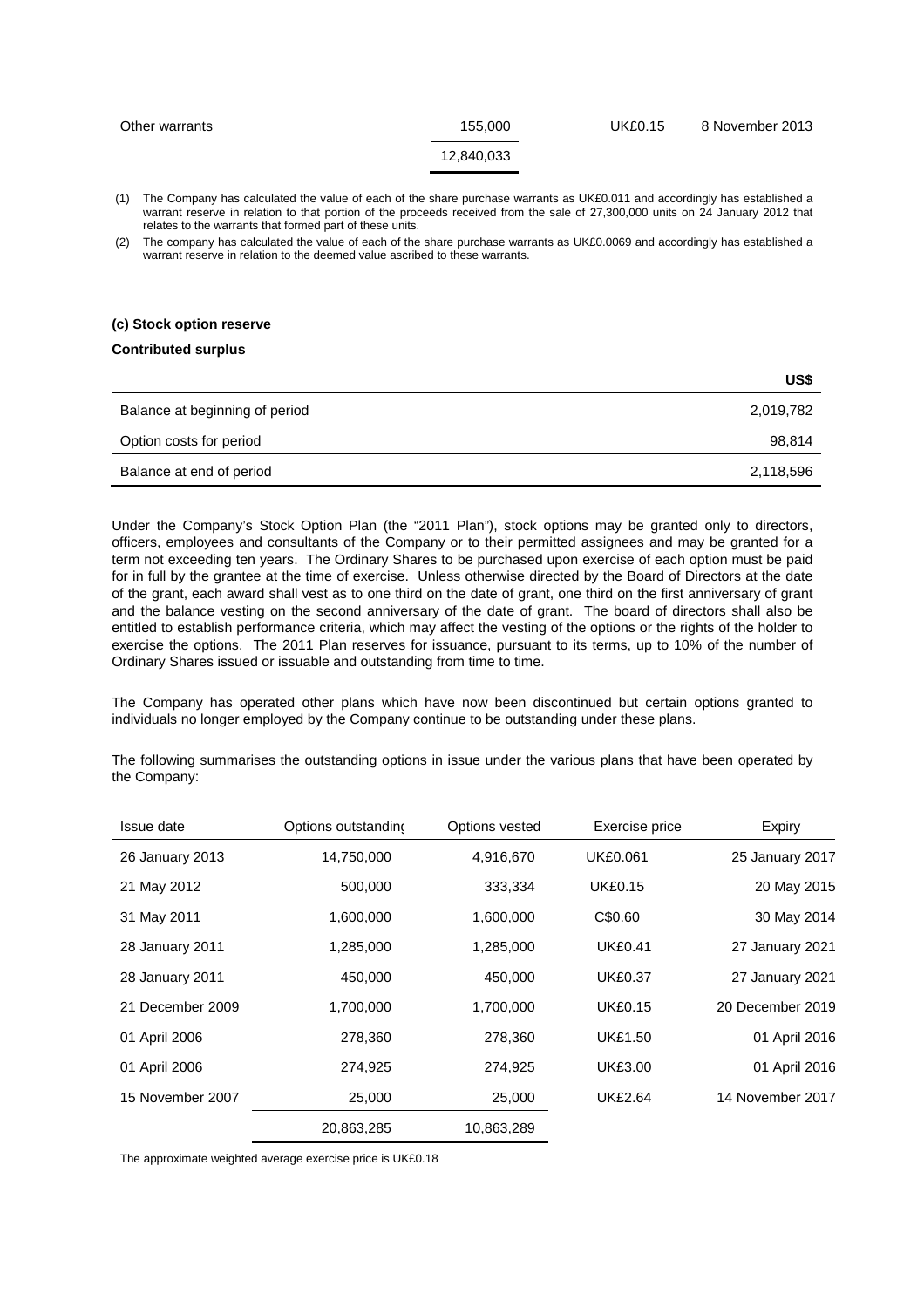| Other warrants                                                                                                                                                                                                                                                     | 155.000    | UK£0.15 | 8 November 2013 |
|--------------------------------------------------------------------------------------------------------------------------------------------------------------------------------------------------------------------------------------------------------------------|------------|---------|-----------------|
|                                                                                                                                                                                                                                                                    | 12.840.033 |         |                 |
| The Company has calculated the value of each of the share purchase warrants as UK£0.011 and accordingly has established a<br>(1)<br>warrant recense in relation to that portion of the proceeds received from the sale of 27,300,000 units on 24 January 2012 that |            |         |                 |

ds received from the sale of 27,300,000 units on 24 January 2012 that relates to the warrants that formed part of these units.

(2) The company has calculated the value of each of the share purchase warrants as UK£0.0069 and accordingly has established a warrant reserve in relation to the deemed value ascribed to these warrants.

# **(c) Stock option reserve**

#### **Contributed surplus**

|                                | US\$      |
|--------------------------------|-----------|
| Balance at beginning of period | 2,019,782 |
| Option costs for period        | 98.814    |
| Balance at end of period       | 2,118,596 |

Under the Company's Stock Option Plan (the "2011 Plan"), stock options may be granted only to directors, officers, employees and consultants of the Company or to their permitted assignees and may be granted for a term not exceeding ten years. The Ordinary Shares to be purchased upon exercise of each option must be paid for in full by the grantee at the time of exercise. Unless otherwise directed by the Board of Directors at the date of the grant, each award shall vest as to one third on the date of grant, one third on the first anniversary of grant and the balance vesting on the second anniversary of the date of grant. The board of directors shall also be entitled to establish performance criteria, which may affect the vesting of the options or the rights of the holder to exercise the options. The 2011 Plan reserves for issuance, pursuant to its terms, up to 10% of the number of Ordinary Shares issued or issuable and outstanding from time to time.

The Company has operated other plans which have now been discontinued but certain options granted to individuals no longer employed by the Company continue to be outstanding under these plans.

The following summarises the outstanding options in issue under the various plans that have been operated by the Company:

| Issue date       | Options outstanding | Options vested | Exercise price  | Expiry           |
|------------------|---------------------|----------------|-----------------|------------------|
| 26 January 2013  | 14,750,000          | 4,916,670      | <b>UK£0.061</b> | 25 January 2017  |
| 21 May 2012      | 500,000             | 333,334        | <b>UK£0.15</b>  | 20 May 2015      |
| 31 May 2011      | 1,600,000           | 1,600,000      | C\$0.60         | 30 May 2014      |
| 28 January 2011  | 1,285,000           | 1,285,000      | <b>UK£0.41</b>  | 27 January 2021  |
| 28 January 2011  | 450,000             | 450,000        | <b>UK£0.37</b>  | 27 January 2021  |
| 21 December 2009 | 1,700,000           | 1,700,000      | <b>UK£0.15</b>  | 20 December 2019 |
| 01 April 2006    | 278,360             | 278,360        | <b>UK£1.50</b>  | 01 April 2016    |
| 01 April 2006    | 274,925             | 274,925        | <b>UK£3.00</b>  | 01 April 2016    |
| 15 November 2007 | 25,000              | 25,000         | <b>UK£2.64</b>  | 14 November 2017 |
|                  | 20,863,285          | 10,863,289     |                 |                  |

The approximate weighted average exercise price is UK£0.18